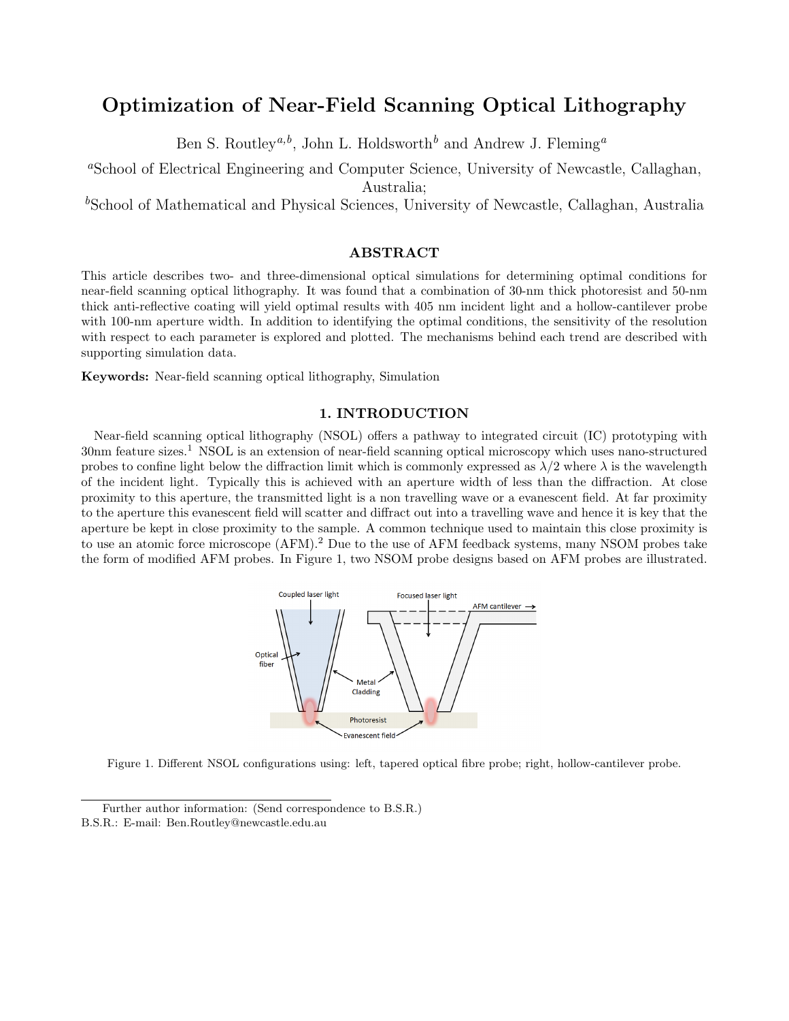# Optimization of Near-Field Scanning Optical Lithography

Ben S. Routley<sup>*a*,*b*</sup>, John L. Holdsworth<sup>*b*</sup> and Andrew J. Fleming<sup>*a*</sup>

<sup>a</sup>School of Electrical Engineering and Computer Science, University of Newcastle, Callaghan, Australia;

 ${}^{b}$ School of Mathematical and Physical Sciences, University of Newcastle, Callaghan, Australia

## ABSTRACT

This article describes two- and three-dimensional optical simulations for determining optimal conditions for near-field scanning optical lithography. It was found that a combination of 30-nm thick photoresist and 50-nm thick anti-reflective coating will yield optimal results with 405 nm incident light and a hollow-cantilever probe with 100-nm aperture width. In addition to identifying the optimal conditions, the sensitivity of the resolution with respect to each parameter is explored and plotted. The mechanisms behind each trend are described with supporting simulation data.

Keywords: Near-field scanning optical lithography, Simulation

# 1. INTRODUCTION

Near-field scanning optical lithography (NSOL) offers a pathway to integrated circuit (IC) prototyping with 30nm feature sizes.<sup>1</sup> NSOL is an extension of near-field scanning optical microscopy which uses nano-structured probes to confine light below the diffraction limit which is commonly expressed as  $\lambda/2$  where  $\lambda$  is the wavelength of the incident light. Typically this is achieved with an aperture width of less than the diffraction. At close proximity to this aperture, the transmitted light is a non travelling wave or a evanescent field. At far proximity to the aperture this evanescent field will scatter and diffract out into a travelling wave and hence it is key that the aperture be kept in close proximity to the sample. A common technique used to maintain this close proximity is to use an atomic force microscope (AFM).<sup>2</sup> Due to the use of AFM feedback systems, many NSOM probes take the form of modified AFM probes. In Figure 1, two NSOM probe designs based on AFM probes are illustrated.



Figure 1. Different NSOL configurations using: left, tapered optical fibre probe; right, hollow-cantilever probe.

Further author information: (Send correspondence to B.S.R.) B.S.R.: E-mail: Ben.Routley@newcastle.edu.au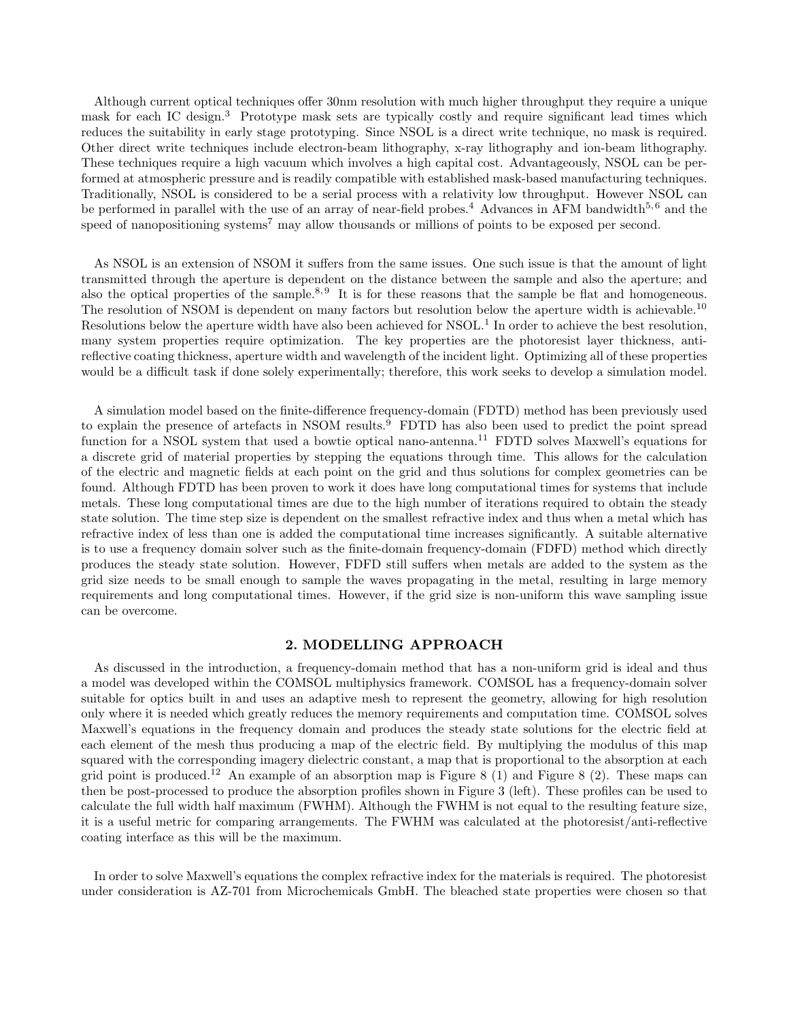Although current optical techniques offer 30nm resolution with much higher throughput they require a unique mask for each IC design.<sup>3</sup> Prototype mask sets are typically costly and require significant lead times which reduces the suitability in early stage prototyping. Since NSOL is a direct write technique, no mask is required. Other direct write techniques include electron-beam lithography, x-ray lithography and ion-beam lithography. These techniques require a high vacuum which involves a high capital cost. Advantageously, NSOL can be performed at atmospheric pressure and is readily compatible with established mask-based manufacturing techniques. Traditionally, NSOL is considered to be a serial process with a relativity low throughput. However NSOL can be performed in parallel with the use of an array of near-field probes.<sup>4</sup> Advances in AFM bandwidth<sup>5,6</sup> and the speed of nanopositioning systems<sup>7</sup> may allow thousands or millions of points to be exposed per second.

As NSOL is an extension of NSOM it suffers from the same issues. One such issue is that the amount of light transmitted through the aperture is dependent on the distance between the sample and also the aperture; and also the optical properties of the sample.<sup>8, 9</sup> It is for these reasons that the sample be flat and homogeneous. The resolution of NSOM is dependent on many factors but resolution below the aperture width is achievable.<sup>10</sup> Resolutions below the aperture width have also been achieved for NSOL.<sup>1</sup> In order to achieve the best resolution, many system properties require optimization. The key properties are the photoresist layer thickness, antireflective coating thickness, aperture width and wavelength of the incident light. Optimizing all of these properties would be a difficult task if done solely experimentally; therefore, this work seeks to develop a simulation model.

A simulation model based on the finite-difference frequency-domain (FDTD) method has been previously used to explain the presence of artefacts in NSOM results.<sup>9</sup> FDTD has also been used to predict the point spread function for a NSOL system that used a bowtie optical nano-antenna.<sup>11</sup> FDTD solves Maxwell's equations for a discrete grid of material properties by stepping the equations through time. This allows for the calculation of the electric and magnetic fields at each point on the grid and thus solutions for complex geometries can be found. Although FDTD has been proven to work it does have long computational times for systems that include metals. These long computational times are due to the high number of iterations required to obtain the steady state solution. The time step size is dependent on the smallest refractive index and thus when a metal which has refractive index of less than one is added the computational time increases significantly. A suitable alternative is to use a frequency domain solver such as the finite-domain frequency-domain (FDFD) method which directly produces the steady state solution. However, FDFD still suffers when metals are added to the system as the grid size needs to be small enough to sample the waves propagating in the metal, resulting in large memory requirements and long computational times. However, if the grid size is non-uniform this wave sampling issue can be overcome.

## 2. MODELLING APPROACH

As discussed in the introduction, a frequency-domain method that has a non-uniform grid is ideal and thus a model was developed within the COMSOL multiphysics framework. COMSOL has a frequency-domain solver suitable for optics built in and uses an adaptive mesh to represent the geometry, allowing for high resolution only where it is needed which greatly reduces the memory requirements and computation time. COMSOL solves Maxwell's equations in the frequency domain and produces the steady state solutions for the electric field at each element of the mesh thus producing a map of the electric field. By multiplying the modulus of this map squared with the corresponding imagery dielectric constant, a map that is proportional to the absorption at each grid point is produced.<sup>12</sup> An example of an absorption map is Figure 8 (1) and Figure 8 (2). These maps can then be post-processed to produce the absorption profiles shown in Figure 3 (left). These profiles can be used to calculate the full width half maximum (FWHM). Although the FWHM is not equal to the resulting feature size, it is a useful metric for comparing arrangements. The FWHM was calculated at the photoresist/anti-reflective coating interface as this will be the maximum.

In order to solve Maxwell's equations the complex refractive index for the materials is required. The photoresist under consideration is AZ-701 from Microchemicals GmbH. The bleached state properties were chosen so that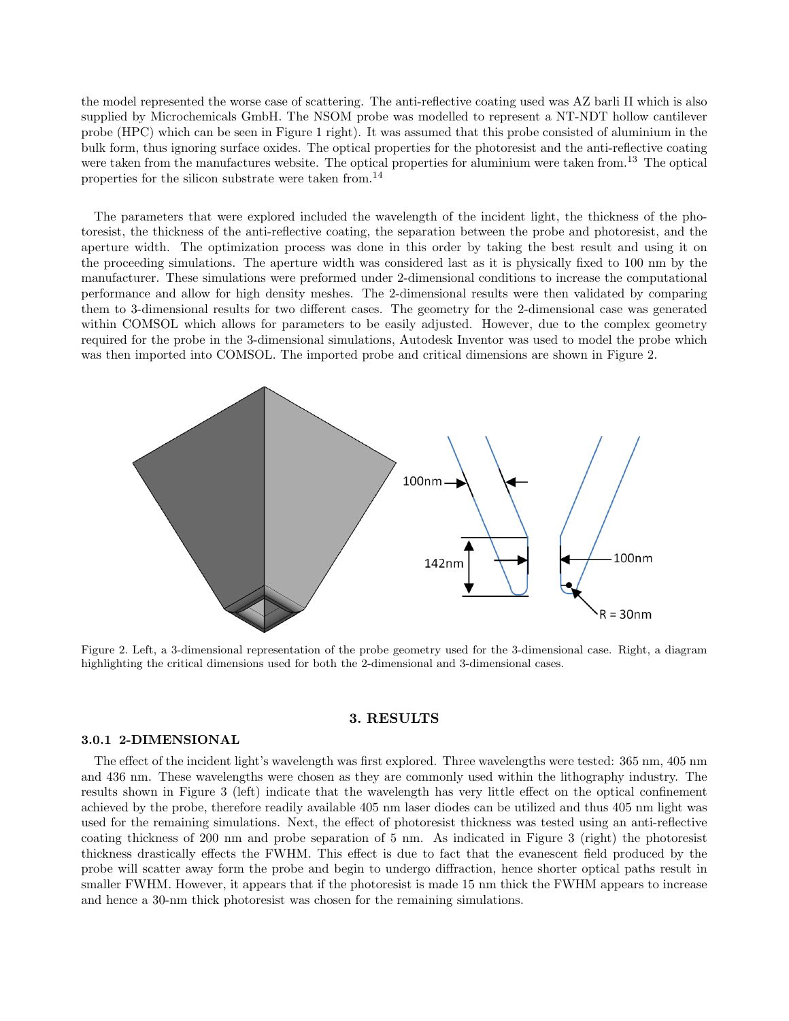the model represented the worse case of scattering. The anti-reflective coating used was AZ barli II which is also supplied by Microchemicals GmbH. The NSOM probe was modelled to represent a NT-NDT hollow cantilever probe (HPC) which can be seen in Figure 1 right). It was assumed that this probe consisted of aluminium in the bulk form, thus ignoring surface oxides. The optical properties for the photoresist and the anti-reflective coating were taken from the manufactures website. The optical properties for aluminium were taken from.<sup>13</sup> The optical properties for the silicon substrate were taken from.<sup>14</sup>

The parameters that were explored included the wavelength of the incident light, the thickness of the photoresist, the thickness of the anti-reflective coating, the separation between the probe and photoresist, and the aperture width. The optimization process was done in this order by taking the best result and using it on the proceeding simulations. The aperture width was considered last as it is physically fixed to 100 nm by the manufacturer. These simulations were preformed under 2-dimensional conditions to increase the computational performance and allow for high density meshes. The 2-dimensional results were then validated by comparing them to 3-dimensional results for two different cases. The geometry for the 2-dimensional case was generated within COMSOL which allows for parameters to be easily adjusted. However, due to the complex geometry required for the probe in the 3-dimensional simulations, Autodesk Inventor was used to model the probe which was then imported into COMSOL. The imported probe and critical dimensions are shown in Figure 2.



Figure 2. Left, a 3-dimensional representation of the probe geometry used for the 3-dimensional case. Right, a diagram highlighting the critical dimensions used for both the 2-dimensional and 3-dimensional cases.

### 3. RESULTS

#### 3.0.1 2-DIMENSIONAL

The effect of the incident light's wavelength was first explored. Three wavelengths were tested: 365 nm, 405 nm and 436 nm. These wavelengths were chosen as they are commonly used within the lithography industry. The results shown in Figure 3 (left) indicate that the wavelength has very little effect on the optical confinement achieved by the probe, therefore readily available 405 nm laser diodes can be utilized and thus 405 nm light was used for the remaining simulations. Next, the effect of photoresist thickness was tested using an anti-reflective coating thickness of 200 nm and probe separation of 5 nm. As indicated in Figure 3 (right) the photoresist thickness drastically effects the FWHM. This effect is due to fact that the evanescent field produced by the probe will scatter away form the probe and begin to undergo diffraction, hence shorter optical paths result in smaller FWHM. However, it appears that if the photoresist is made 15 nm thick the FWHM appears to increase and hence a 30-nm thick photoresist was chosen for the remaining simulations.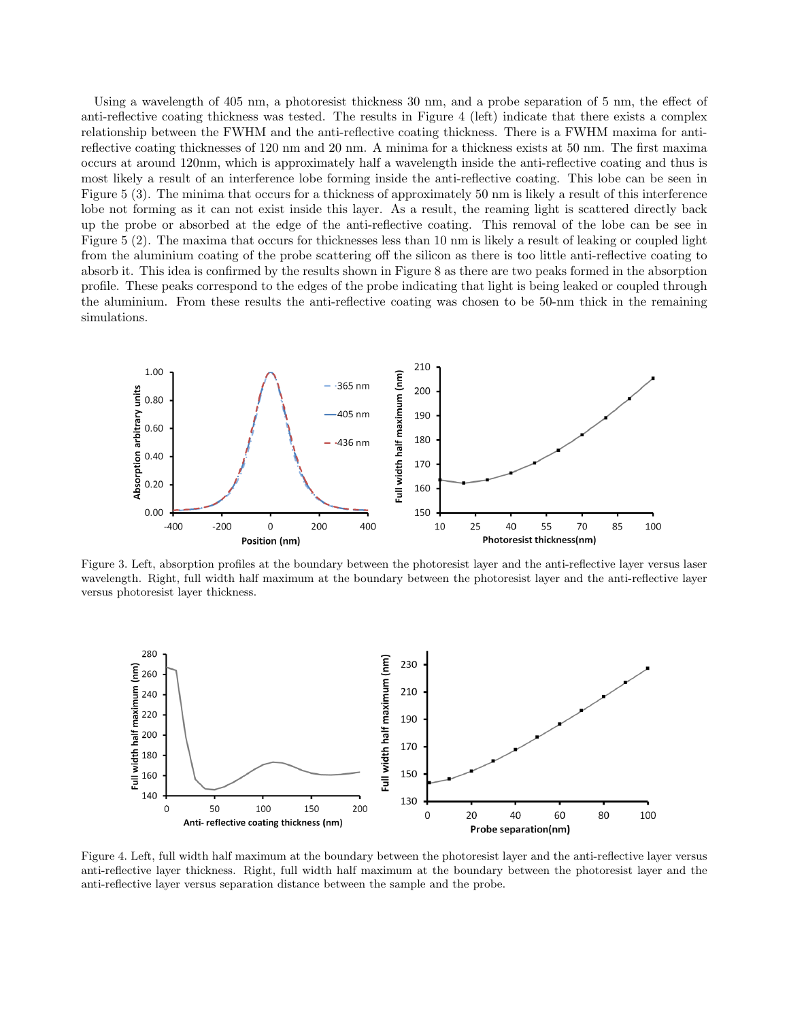Using a wavelength of 405 nm, a photoresist thickness 30 nm, and a probe separation of 5 nm, the effect of anti-reflective coating thickness was tested. The results in Figure 4 (left) indicate that there exists a complex relationship between the FWHM and the anti-reflective coating thickness. There is a FWHM maxima for antireflective coating thicknesses of 120 nm and 20 nm. A minima for a thickness exists at 50 nm. The first maxima occurs at around 120nm, which is approximately half a wavelength inside the anti-reflective coating and thus is most likely a result of an interference lobe forming inside the anti-reflective coating. This lobe can be seen in Figure 5 (3). The minima that occurs for a thickness of approximately 50 nm is likely a result of this interference lobe not forming as it can not exist inside this layer. As a result, the reaming light is scattered directly back up the probe or absorbed at the edge of the anti-reflective coating. This removal of the lobe can be see in Figure 5 (2). The maxima that occurs for thicknesses less than 10 nm is likely a result of leaking or coupled light from the aluminium coating of the probe scattering off the silicon as there is too little anti-reflective coating to absorb it. This idea is confirmed by the results shown in Figure 8 as there are two peaks formed in the absorption profile. These peaks correspond to the edges of the probe indicating that light is being leaked or coupled through the aluminium. From these results the anti-reflective coating was chosen to be 50-nm thick in the remaining simulations.



Figure 3. Left, absorption profiles at the boundary between the photoresist layer and the anti-reflective layer versus laser wavelength. Right, full width half maximum at the boundary between the photoresist layer and the anti-reflective layer versus photoresist layer thickness.



Figure 4. Left, full width half maximum at the boundary between the photoresist layer and the anti-reflective layer versus anti-reflective layer thickness. Right, full width half maximum at the boundary between the photoresist layer and the anti-reflective layer versus separation distance between the sample and the probe.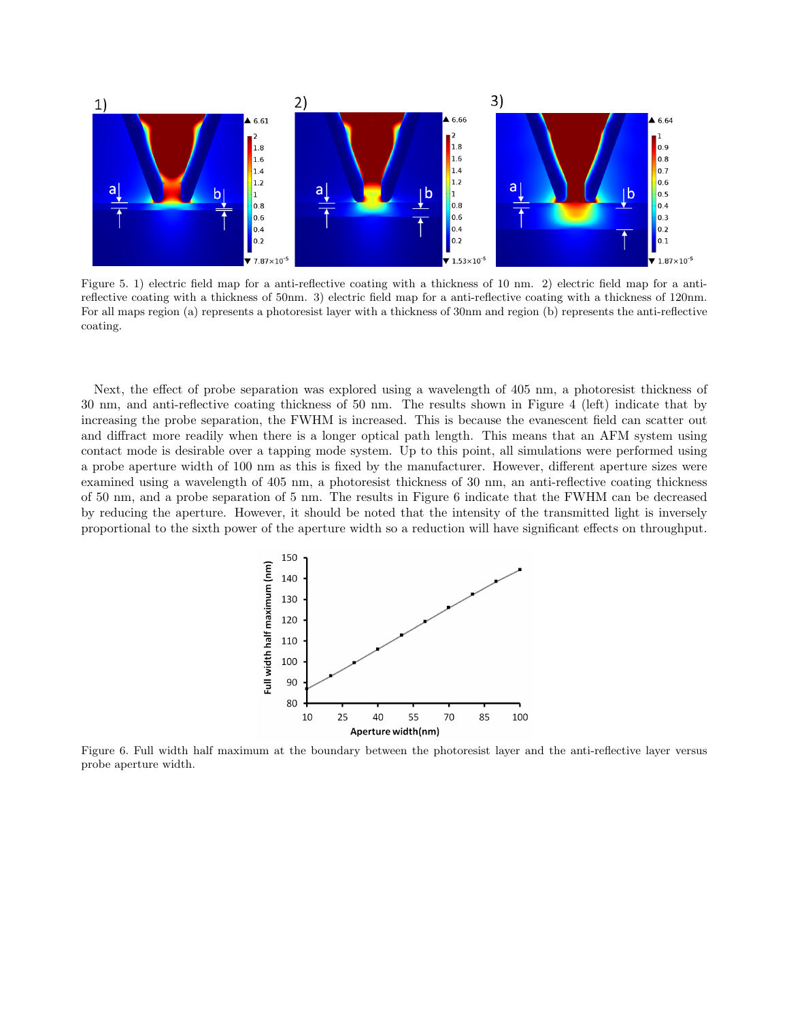

Figure 5. 1) electric field map for a anti-reflective coating with a thickness of 10 nm. 2) electric field map for a antireflective coating with a thickness of 50nm. 3) electric field map for a anti-reflective coating with a thickness of 120nm. For all maps region (a) represents a photoresist layer with a thickness of 30nm and region (b) represents the anti-reflective coating.

Next, the effect of probe separation was explored using a wavelength of 405 nm, a photoresist thickness of 30 nm, and anti-reflective coating thickness of 50 nm. The results shown in Figure 4 (left) indicate that by increasing the probe separation, the FWHM is increased. This is because the evanescent field can scatter out and diffract more readily when there is a longer optical path length. This means that an AFM system using contact mode is desirable over a tapping mode system. Up to this point, all simulations were performed using a probe aperture width of 100 nm as this is fixed by the manufacturer. However, different aperture sizes were examined using a wavelength of 405 nm, a photoresist thickness of 30 nm, an anti-reflective coating thickness of 50 nm, and a probe separation of 5 nm. The results in Figure 6 indicate that the FWHM can be decreased by reducing the aperture. However, it should be noted that the intensity of the transmitted light is inversely proportional to the sixth power of the aperture width so a reduction will have significant effects on throughput.



Figure 6. Full width half maximum at the boundary between the photoresist layer and the anti-reflective layer versus probe aperture width.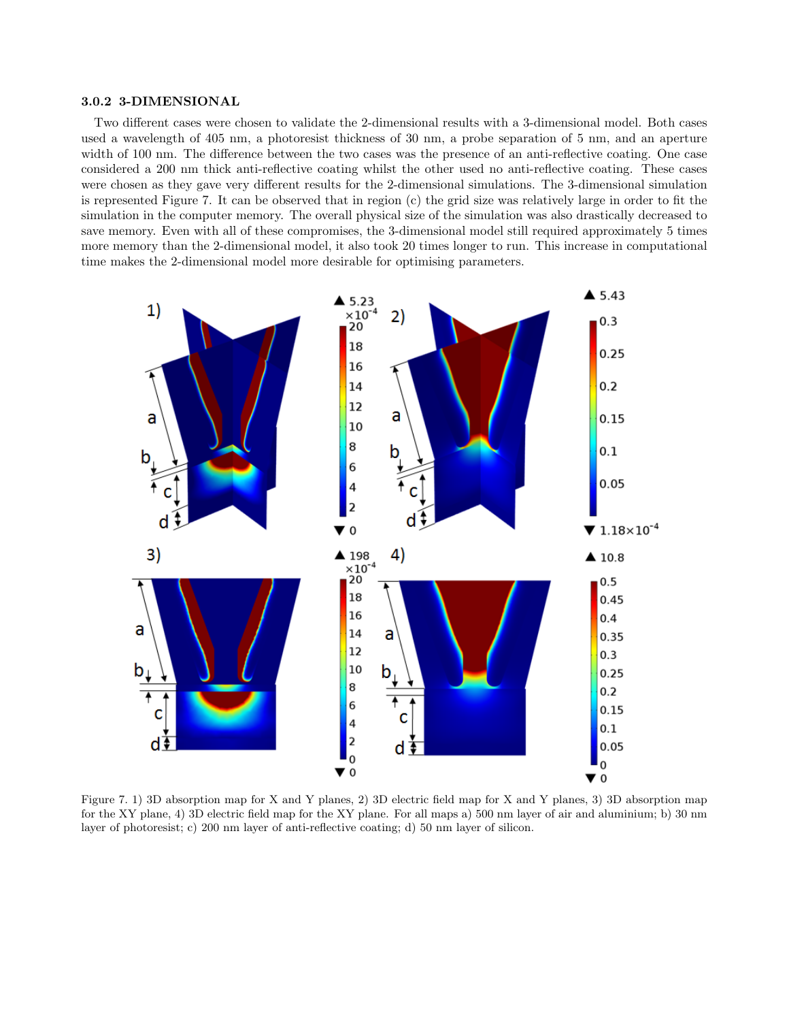#### 3.0.2 3-DIMENSIONAL

Two different cases were chosen to validate the 2-dimensional results with a 3-dimensional model. Both cases used a wavelength of 405 nm, a photoresist thickness of 30 nm, a probe separation of 5 nm, and an aperture width of 100 nm. The difference between the two cases was the presence of an anti-reflective coating. One case considered a 200 nm thick anti-reflective coating whilst the other used no anti-reflective coating. These cases were chosen as they gave very different results for the 2-dimensional simulations. The 3-dimensional simulation is represented Figure 7. It can be observed that in region (c) the grid size was relatively large in order to fit the simulation in the computer memory. The overall physical size of the simulation was also drastically decreased to save memory. Even with all of these compromises, the 3-dimensional model still required approximately 5 times more memory than the 2-dimensional model, it also took 20 times longer to run. This increase in computational time makes the 2-dimensional model more desirable for optimising parameters.



Figure 7. 1) 3D absorption map for X and Y planes, 2) 3D electric field map for X and Y planes, 3) 3D absorption map for the XY plane, 4) 3D electric field map for the XY plane. For all maps a) 500 nm layer of air and aluminium; b) 30 nm layer of photoresist; c) 200 nm layer of anti-reflective coating; d) 50 nm layer of silicon.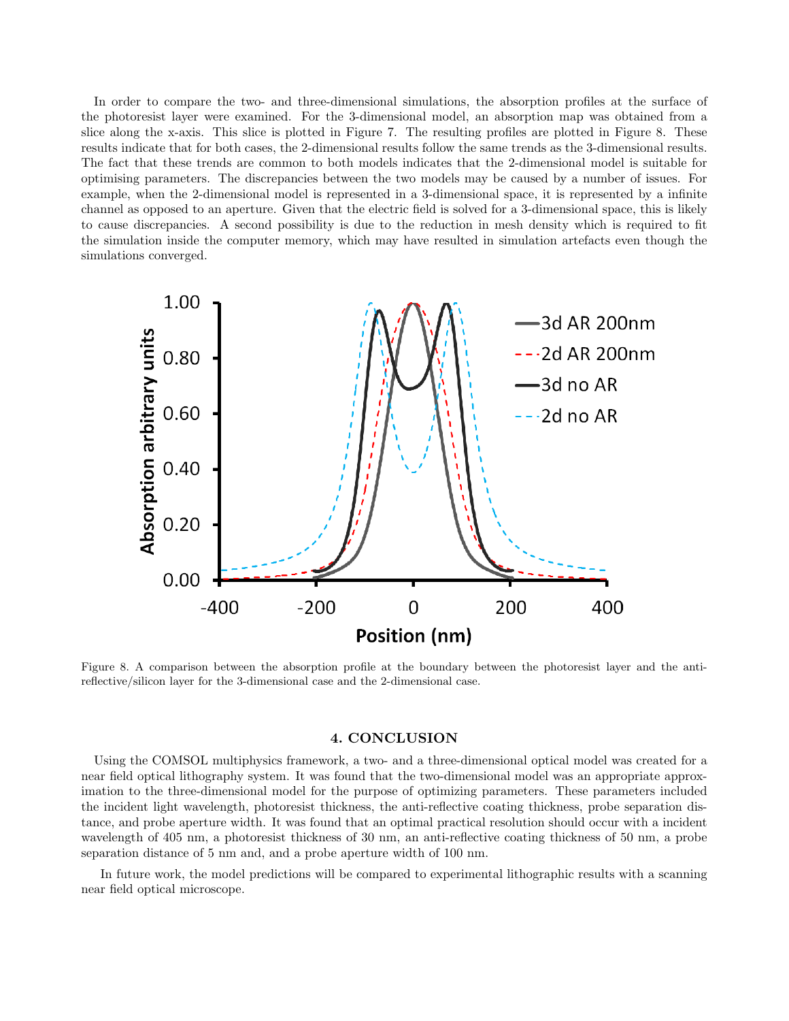In order to compare the two- and three-dimensional simulations, the absorption profiles at the surface of the photoresist layer were examined. For the 3-dimensional model, an absorption map was obtained from a slice along the x-axis. This slice is plotted in Figure 7. The resulting profiles are plotted in Figure 8. These results indicate that for both cases, the 2-dimensional results follow the same trends as the 3-dimensional results. The fact that these trends are common to both models indicates that the 2-dimensional model is suitable for optimising parameters. The discrepancies between the two models may be caused by a number of issues. For example, when the 2-dimensional model is represented in a 3-dimensional space, it is represented by a infinite channel as opposed to an aperture. Given that the electric field is solved for a 3-dimensional space, this is likely to cause discrepancies. A second possibility is due to the reduction in mesh density which is required to fit the simulation inside the computer memory, which may have resulted in simulation artefacts even though the simulations converged.



Figure 8. A comparison between the absorption profile at the boundary between the photoresist layer and the antireflective/silicon layer for the 3-dimensional case and the 2-dimensional case.

## 4. CONCLUSION

Using the COMSOL multiphysics framework, a two- and a three-dimensional optical model was created for a near field optical lithography system. It was found that the two-dimensional model was an appropriate approximation to the three-dimensional model for the purpose of optimizing parameters. These parameters included the incident light wavelength, photoresist thickness, the anti-reflective coating thickness, probe separation distance, and probe aperture width. It was found that an optimal practical resolution should occur with a incident wavelength of 405 nm, a photoresist thickness of 30 nm, an anti-reflective coating thickness of 50 nm, a probe separation distance of 5 nm and, and a probe aperture width of 100 nm.

In future work, the model predictions will be compared to experimental lithographic results with a scanning near field optical microscope.